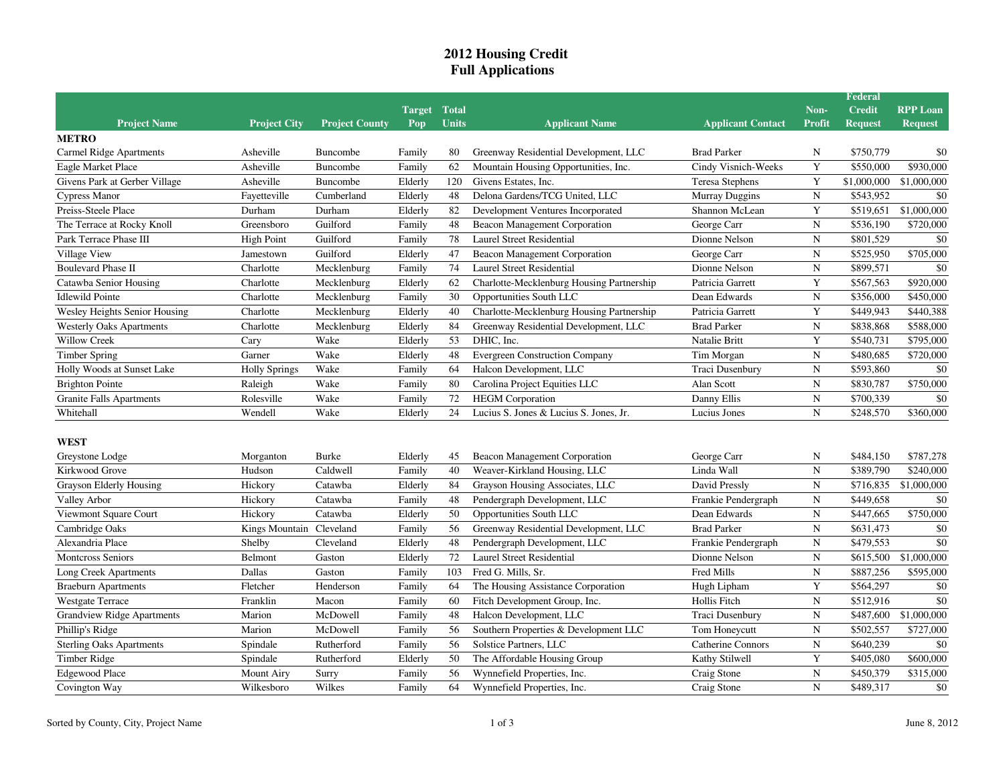## **2012 Housing CreditFull Applications**

| Non-<br><b>Credit</b><br><b>RPP Loan</b><br><b>Target Total</b><br><b>Units</b><br><b>Project Name</b><br><b>Project County</b><br><b>Applicant Name</b><br><b>Applicant Contact</b><br><b>Profit</b><br><b>Project City</b><br>Pop<br><b>Request</b><br><b>Request</b><br><b>METRO</b><br>\$750,779<br>\$0<br>Carmel Ridge Apartments<br>Asheville<br>Buncombe<br>Family<br>Greenway Residential Development, LLC<br><b>Brad Parker</b><br>N<br>80<br>Y<br>\$930,000<br>Asheville<br>Family<br>62<br>Mountain Housing Opportunities, Inc.<br>Cindy Visnich-Weeks<br>\$550,000<br>Eagle Market Place<br>Buncombe<br>Y<br>120<br>Givens Estates, Inc.<br>Givens Park at Gerber Village<br>Asheville<br>Buncombe<br>Elderly<br><b>Teresa Stephens</b><br>\$1,000,000<br>\$1,000,000<br>Delona Gardens/TCG United, LLC<br>${\bf N}$<br>\$543,952<br>\$0<br>Cumberland<br>Elderly<br>48<br>Murray Duggins<br>Cypress Manor<br>Fayetteville<br>Y<br>Preiss-Steele Place<br>Durham<br>Durham<br>Elderly<br>82<br>Development Ventures Incorporated<br>Shannon McLean<br>\$519,651<br>\$1,000,000<br>$\mathbf N$<br>The Terrace at Rocky Knoll<br>Guilford<br>48<br>George Carr<br>\$536,190<br>\$720,000<br>Greensboro<br>Family<br>Beacon Management Corporation<br>Guilford<br><b>Laurel Street Residential</b><br>$\mathbf N$<br>\$0<br><b>High Point</b><br>Family<br>78<br>Dionne Nelson<br>\$801,529<br>47<br>George Carr<br>$\mathbf N$<br>\$705,000<br>Guilford<br>Elderly<br>Beacon Management Corporation<br>\$525,950<br>Jamestown<br>$\mathbf N$<br>\$0<br><b>Boulevard Phase II</b><br>Charlotte<br>Mecklenburg<br>Family<br>74<br>Laurel Street Residential<br>Dionne Nelson<br>\$899,571<br>Y<br>Elderly<br>62<br>Charlotte-Mecklenburg Housing Partnership<br>\$567,563<br>\$920,000<br>Catawba Senior Housing<br>Charlotte<br>Mecklenburg<br>Patricia Garrett<br>30<br>Opportunities South LLC<br>Dean Edwards<br>$\mathbf N$<br>\$450,000<br><b>Idlewild Pointe</b><br>Charlotte<br>Mecklenburg<br>Family<br>\$356,000<br>Charlotte-Mecklenburg Housing Partnership<br>Y<br>\$440,388<br>Wesley Heights Senior Housing<br>Mecklenburg<br>Elderly<br>40<br>\$449,943<br>Charlotte<br>Patricia Garrett<br>$\mathbf N$<br>Charlotte<br>Elderly<br>84<br>Greenway Residential Development, LLC<br><b>Brad Parker</b><br>\$838,868<br><b>Westerly Oaks Apartments</b><br>Mecklenburg<br>\$588,000<br>Y<br><b>Willow Creek</b><br>Wake<br>Elderly<br>53<br>DHIC, Inc.<br>\$540,731<br>\$795,000<br>Cary<br>Natalie Britt<br>Wake<br>48<br><b>Evergreen Construction Company</b><br>$\mathbf N$<br>\$480,685<br>\$720,000<br><b>Timber Spring</b><br>Garner<br>Elderly<br>Tim Morgan<br>Wake<br>Halcon Development, LLC<br>$\mathbf N$<br>\$593,860<br>\$0<br>Holly Woods at Sunset Lake<br>64<br>Traci Dusenbury<br><b>Holly Springs</b><br>Family<br>$\mathbf N$<br>\$750,000<br>Wake<br>Family<br>80<br>Carolina Project Equities LLC<br>Alan Scott<br>\$830,787<br>Raleigh<br>72<br>$\mathbf N$<br>\$0<br>Wake<br>Family<br><b>HEGM</b> Corporation<br>\$700,339<br><b>Granite Falls Apartments</b><br>Rolesville<br>Danny Ellis<br>$\mathbf N$<br>Wendell<br>Wake<br>\$248,570<br>Whitehall<br>Elderly<br>24<br>Lucius S. Jones & Lucius S. Jones, Jr.<br>Lucius Jones<br>\$360,000<br><b>WEST</b><br><b>Burke</b><br>\$484,150<br>\$787,278<br>Greystone Lodge<br>Elderly<br>Beacon Management Corporation<br>George Carr<br>N<br>Morganton<br>45<br>Caldwell<br>40<br>Weaver-Kirkland Housing, LLC<br>Linda Wall<br>$\mathbf N$<br>\$389,790<br>Kirkwood Grove<br>Hudson<br>Family<br>\$240,000<br>$\overline{N}$<br>84<br>Hickory<br>Catawba<br>Elderly<br>Grayson Housing Associates, LLC<br>David Pressly<br>\$716,835<br>\$1,000,000<br>Grayson Elderly Housing<br>Pendergraph Development, LLC<br>Family<br>48<br>Frankie Pendergraph<br>${\bf N}$<br>\$449,658<br>\$0<br>Hickory<br>Catawba<br>Catawba<br>50<br>Opportunities South LLC<br>$\mathbf N$<br>\$447,665<br>\$750,000<br>Viewmont Square Court<br>Hickory<br>Elderly<br>Dean Edwards<br>56<br>$\mathbf N$<br>\$0<br>Kings Mountain Cleveland<br>Family<br>Greenway Residential Development, LLC<br><b>Brad Parker</b><br>\$631,473<br>\$0<br>$\mathbf N$<br>Alexandria Place<br>Shelby<br>Cleveland<br>Elderly<br>48<br>Pendergraph Development, LLC<br>Frankie Pendergraph<br>\$479,553<br>72<br>$\mathbf N$<br>\$615,500<br>\$1,000,000<br><b>Montcross Seniors</b><br>Belmont<br>Gaston<br>Elderly<br><b>Laurel Street Residential</b><br>Dionne Nelson<br>103<br>Fred Mills<br>$\mathbf N$<br>Long Creek Apartments<br>Dallas<br>Gaston<br>Family<br>Fred G. Mills, Sr.<br>\$887,256<br>\$595,000<br>The Housing Assistance Corporation<br>Y<br>\$564,297<br><b>Braeburn Apartments</b><br>Fletcher<br>Henderson<br>Family<br>64<br>Hugh Lipham<br>\$0<br>$\mathbf N$<br>\$0<br>Family<br>60<br>Fitch Development Group, Inc.<br>Hollis Fitch<br>\$512,916<br>Franklin<br>Macon<br>$\mathbf N$<br>Marion<br>McDowell<br>Family<br>48<br>Halcon Development, LLC<br><b>Traci Dusenbury</b><br>\$487,600<br>\$1,000,000<br>56<br>Southern Properties & Development LLC<br>$\mathbf N$<br>\$502,557<br>\$727,000<br>Phillip's Ridge<br>Marion<br>McDowell<br>Family<br>Tom Honeycutt<br>56<br>Solstice Partners, LLC<br>Catherine Connors<br>$\mathbf N$<br>\$640,239<br>\$0<br>Spindale<br>Rutherford<br>Family<br>Y<br><b>Timber Ridge</b><br>50<br>The Affordable Housing Group<br>\$405,080<br>\$600,000<br>Spindale<br>Rutherford<br>Elderly<br>Kathy Stilwell<br>$\mathbf N$<br>Family<br>56<br>Craig Stone<br>\$450,379<br><b>Edgewood Place</b><br>Mount Airy<br>Surry<br>Wynnefield Properties, Inc.<br>\$315,000<br>Wilkes<br>Family<br>$\mathbf N$<br>\$0<br>Wilkesboro<br>64 |                                   |  |  |                             |             | Federal   |  |
|------------------------------------------------------------------------------------------------------------------------------------------------------------------------------------------------------------------------------------------------------------------------------------------------------------------------------------------------------------------------------------------------------------------------------------------------------------------------------------------------------------------------------------------------------------------------------------------------------------------------------------------------------------------------------------------------------------------------------------------------------------------------------------------------------------------------------------------------------------------------------------------------------------------------------------------------------------------------------------------------------------------------------------------------------------------------------------------------------------------------------------------------------------------------------------------------------------------------------------------------------------------------------------------------------------------------------------------------------------------------------------------------------------------------------------------------------------------------------------------------------------------------------------------------------------------------------------------------------------------------------------------------------------------------------------------------------------------------------------------------------------------------------------------------------------------------------------------------------------------------------------------------------------------------------------------------------------------------------------------------------------------------------------------------------------------------------------------------------------------------------------------------------------------------------------------------------------------------------------------------------------------------------------------------------------------------------------------------------------------------------------------------------------------------------------------------------------------------------------------------------------------------------------------------------------------------------------------------------------------------------------------------------------------------------------------------------------------------------------------------------------------------------------------------------------------------------------------------------------------------------------------------------------------------------------------------------------------------------------------------------------------------------------------------------------------------------------------------------------------------------------------------------------------------------------------------------------------------------------------------------------------------------------------------------------------------------------------------------------------------------------------------------------------------------------------------------------------------------------------------------------------------------------------------------------------------------------------------------------------------------------------------------------------------------------------------------------------------------------------------------------------------------------------------------------------------------------------------------------------------------------------------------------------------------------------------------------------------------------------------------------------------------------------------------------------------------------------------------------------------------------------------------------------------------------------------------------------------------------------------------------------------------------------------------------------------------------------------------------------------------------------------------------------------------------------------------------------------------------------------------------------------------------------------------------------------------------------------------------------------------------------------------------------------------------------------------------------------------------------------------------------------------------------------------------------------------------------------------------------------------------------------------------------------------------------------------------------------------------------------------------------------------------------------------------------------------------------------------------------------------------------------------------------------------------------------------------------------------------------------------------------------------------------------------------------------------------------------------------------------------------------------------------------------------------------------------------------------------------------------------------------------------------------------------------------------------------------------------------------------------------------------------------------------------------------------------------------------------------------------------------------------|-----------------------------------|--|--|-----------------------------|-------------|-----------|--|
|                                                                                                                                                                                                                                                                                                                                                                                                                                                                                                                                                                                                                                                                                                                                                                                                                                                                                                                                                                                                                                                                                                                                                                                                                                                                                                                                                                                                                                                                                                                                                                                                                                                                                                                                                                                                                                                                                                                                                                                                                                                                                                                                                                                                                                                                                                                                                                                                                                                                                                                                                                                                                                                                                                                                                                                                                                                                                                                                                                                                                                                                                                                                                                                                                                                                                                                                                                                                                                                                                                                                                                                                                                                                                                                                                                                                                                                                                                                                                                                                                                                                                                                                                                                                                                                                                                                                                                                                                                                                                                                                                                                                                                                                                                                                                                                                                                                                                                                                                                                                                                                                                                                                                                                                                                                                                                                                                                                                                                                                                                                                                                                                                                                                                                                                                                        |                                   |  |  |                             |             |           |  |
|                                                                                                                                                                                                                                                                                                                                                                                                                                                                                                                                                                                                                                                                                                                                                                                                                                                                                                                                                                                                                                                                                                                                                                                                                                                                                                                                                                                                                                                                                                                                                                                                                                                                                                                                                                                                                                                                                                                                                                                                                                                                                                                                                                                                                                                                                                                                                                                                                                                                                                                                                                                                                                                                                                                                                                                                                                                                                                                                                                                                                                                                                                                                                                                                                                                                                                                                                                                                                                                                                                                                                                                                                                                                                                                                                                                                                                                                                                                                                                                                                                                                                                                                                                                                                                                                                                                                                                                                                                                                                                                                                                                                                                                                                                                                                                                                                                                                                                                                                                                                                                                                                                                                                                                                                                                                                                                                                                                                                                                                                                                                                                                                                                                                                                                                                                        |                                   |  |  |                             |             |           |  |
|                                                                                                                                                                                                                                                                                                                                                                                                                                                                                                                                                                                                                                                                                                                                                                                                                                                                                                                                                                                                                                                                                                                                                                                                                                                                                                                                                                                                                                                                                                                                                                                                                                                                                                                                                                                                                                                                                                                                                                                                                                                                                                                                                                                                                                                                                                                                                                                                                                                                                                                                                                                                                                                                                                                                                                                                                                                                                                                                                                                                                                                                                                                                                                                                                                                                                                                                                                                                                                                                                                                                                                                                                                                                                                                                                                                                                                                                                                                                                                                                                                                                                                                                                                                                                                                                                                                                                                                                                                                                                                                                                                                                                                                                                                                                                                                                                                                                                                                                                                                                                                                                                                                                                                                                                                                                                                                                                                                                                                                                                                                                                                                                                                                                                                                                                                        |                                   |  |  |                             |             |           |  |
|                                                                                                                                                                                                                                                                                                                                                                                                                                                                                                                                                                                                                                                                                                                                                                                                                                                                                                                                                                                                                                                                                                                                                                                                                                                                                                                                                                                                                                                                                                                                                                                                                                                                                                                                                                                                                                                                                                                                                                                                                                                                                                                                                                                                                                                                                                                                                                                                                                                                                                                                                                                                                                                                                                                                                                                                                                                                                                                                                                                                                                                                                                                                                                                                                                                                                                                                                                                                                                                                                                                                                                                                                                                                                                                                                                                                                                                                                                                                                                                                                                                                                                                                                                                                                                                                                                                                                                                                                                                                                                                                                                                                                                                                                                                                                                                                                                                                                                                                                                                                                                                                                                                                                                                                                                                                                                                                                                                                                                                                                                                                                                                                                                                                                                                                                                        |                                   |  |  |                             |             |           |  |
|                                                                                                                                                                                                                                                                                                                                                                                                                                                                                                                                                                                                                                                                                                                                                                                                                                                                                                                                                                                                                                                                                                                                                                                                                                                                                                                                                                                                                                                                                                                                                                                                                                                                                                                                                                                                                                                                                                                                                                                                                                                                                                                                                                                                                                                                                                                                                                                                                                                                                                                                                                                                                                                                                                                                                                                                                                                                                                                                                                                                                                                                                                                                                                                                                                                                                                                                                                                                                                                                                                                                                                                                                                                                                                                                                                                                                                                                                                                                                                                                                                                                                                                                                                                                                                                                                                                                                                                                                                                                                                                                                                                                                                                                                                                                                                                                                                                                                                                                                                                                                                                                                                                                                                                                                                                                                                                                                                                                                                                                                                                                                                                                                                                                                                                                                                        |                                   |  |  |                             |             |           |  |
|                                                                                                                                                                                                                                                                                                                                                                                                                                                                                                                                                                                                                                                                                                                                                                                                                                                                                                                                                                                                                                                                                                                                                                                                                                                                                                                                                                                                                                                                                                                                                                                                                                                                                                                                                                                                                                                                                                                                                                                                                                                                                                                                                                                                                                                                                                                                                                                                                                                                                                                                                                                                                                                                                                                                                                                                                                                                                                                                                                                                                                                                                                                                                                                                                                                                                                                                                                                                                                                                                                                                                                                                                                                                                                                                                                                                                                                                                                                                                                                                                                                                                                                                                                                                                                                                                                                                                                                                                                                                                                                                                                                                                                                                                                                                                                                                                                                                                                                                                                                                                                                                                                                                                                                                                                                                                                                                                                                                                                                                                                                                                                                                                                                                                                                                                                        |                                   |  |  |                             |             |           |  |
|                                                                                                                                                                                                                                                                                                                                                                                                                                                                                                                                                                                                                                                                                                                                                                                                                                                                                                                                                                                                                                                                                                                                                                                                                                                                                                                                                                                                                                                                                                                                                                                                                                                                                                                                                                                                                                                                                                                                                                                                                                                                                                                                                                                                                                                                                                                                                                                                                                                                                                                                                                                                                                                                                                                                                                                                                                                                                                                                                                                                                                                                                                                                                                                                                                                                                                                                                                                                                                                                                                                                                                                                                                                                                                                                                                                                                                                                                                                                                                                                                                                                                                                                                                                                                                                                                                                                                                                                                                                                                                                                                                                                                                                                                                                                                                                                                                                                                                                                                                                                                                                                                                                                                                                                                                                                                                                                                                                                                                                                                                                                                                                                                                                                                                                                                                        |                                   |  |  |                             |             |           |  |
|                                                                                                                                                                                                                                                                                                                                                                                                                                                                                                                                                                                                                                                                                                                                                                                                                                                                                                                                                                                                                                                                                                                                                                                                                                                                                                                                                                                                                                                                                                                                                                                                                                                                                                                                                                                                                                                                                                                                                                                                                                                                                                                                                                                                                                                                                                                                                                                                                                                                                                                                                                                                                                                                                                                                                                                                                                                                                                                                                                                                                                                                                                                                                                                                                                                                                                                                                                                                                                                                                                                                                                                                                                                                                                                                                                                                                                                                                                                                                                                                                                                                                                                                                                                                                                                                                                                                                                                                                                                                                                                                                                                                                                                                                                                                                                                                                                                                                                                                                                                                                                                                                                                                                                                                                                                                                                                                                                                                                                                                                                                                                                                                                                                                                                                                                                        |                                   |  |  |                             |             |           |  |
|                                                                                                                                                                                                                                                                                                                                                                                                                                                                                                                                                                                                                                                                                                                                                                                                                                                                                                                                                                                                                                                                                                                                                                                                                                                                                                                                                                                                                                                                                                                                                                                                                                                                                                                                                                                                                                                                                                                                                                                                                                                                                                                                                                                                                                                                                                                                                                                                                                                                                                                                                                                                                                                                                                                                                                                                                                                                                                                                                                                                                                                                                                                                                                                                                                                                                                                                                                                                                                                                                                                                                                                                                                                                                                                                                                                                                                                                                                                                                                                                                                                                                                                                                                                                                                                                                                                                                                                                                                                                                                                                                                                                                                                                                                                                                                                                                                                                                                                                                                                                                                                                                                                                                                                                                                                                                                                                                                                                                                                                                                                                                                                                                                                                                                                                                                        |                                   |  |  |                             |             |           |  |
|                                                                                                                                                                                                                                                                                                                                                                                                                                                                                                                                                                                                                                                                                                                                                                                                                                                                                                                                                                                                                                                                                                                                                                                                                                                                                                                                                                                                                                                                                                                                                                                                                                                                                                                                                                                                                                                                                                                                                                                                                                                                                                                                                                                                                                                                                                                                                                                                                                                                                                                                                                                                                                                                                                                                                                                                                                                                                                                                                                                                                                                                                                                                                                                                                                                                                                                                                                                                                                                                                                                                                                                                                                                                                                                                                                                                                                                                                                                                                                                                                                                                                                                                                                                                                                                                                                                                                                                                                                                                                                                                                                                                                                                                                                                                                                                                                                                                                                                                                                                                                                                                                                                                                                                                                                                                                                                                                                                                                                                                                                                                                                                                                                                                                                                                                                        | Park Terrace Phase III            |  |  |                             |             |           |  |
|                                                                                                                                                                                                                                                                                                                                                                                                                                                                                                                                                                                                                                                                                                                                                                                                                                                                                                                                                                                                                                                                                                                                                                                                                                                                                                                                                                                                                                                                                                                                                                                                                                                                                                                                                                                                                                                                                                                                                                                                                                                                                                                                                                                                                                                                                                                                                                                                                                                                                                                                                                                                                                                                                                                                                                                                                                                                                                                                                                                                                                                                                                                                                                                                                                                                                                                                                                                                                                                                                                                                                                                                                                                                                                                                                                                                                                                                                                                                                                                                                                                                                                                                                                                                                                                                                                                                                                                                                                                                                                                                                                                                                                                                                                                                                                                                                                                                                                                                                                                                                                                                                                                                                                                                                                                                                                                                                                                                                                                                                                                                                                                                                                                                                                                                                                        | Village View                      |  |  |                             |             |           |  |
|                                                                                                                                                                                                                                                                                                                                                                                                                                                                                                                                                                                                                                                                                                                                                                                                                                                                                                                                                                                                                                                                                                                                                                                                                                                                                                                                                                                                                                                                                                                                                                                                                                                                                                                                                                                                                                                                                                                                                                                                                                                                                                                                                                                                                                                                                                                                                                                                                                                                                                                                                                                                                                                                                                                                                                                                                                                                                                                                                                                                                                                                                                                                                                                                                                                                                                                                                                                                                                                                                                                                                                                                                                                                                                                                                                                                                                                                                                                                                                                                                                                                                                                                                                                                                                                                                                                                                                                                                                                                                                                                                                                                                                                                                                                                                                                                                                                                                                                                                                                                                                                                                                                                                                                                                                                                                                                                                                                                                                                                                                                                                                                                                                                                                                                                                                        |                                   |  |  |                             |             |           |  |
|                                                                                                                                                                                                                                                                                                                                                                                                                                                                                                                                                                                                                                                                                                                                                                                                                                                                                                                                                                                                                                                                                                                                                                                                                                                                                                                                                                                                                                                                                                                                                                                                                                                                                                                                                                                                                                                                                                                                                                                                                                                                                                                                                                                                                                                                                                                                                                                                                                                                                                                                                                                                                                                                                                                                                                                                                                                                                                                                                                                                                                                                                                                                                                                                                                                                                                                                                                                                                                                                                                                                                                                                                                                                                                                                                                                                                                                                                                                                                                                                                                                                                                                                                                                                                                                                                                                                                                                                                                                                                                                                                                                                                                                                                                                                                                                                                                                                                                                                                                                                                                                                                                                                                                                                                                                                                                                                                                                                                                                                                                                                                                                                                                                                                                                                                                        |                                   |  |  |                             |             |           |  |
|                                                                                                                                                                                                                                                                                                                                                                                                                                                                                                                                                                                                                                                                                                                                                                                                                                                                                                                                                                                                                                                                                                                                                                                                                                                                                                                                                                                                                                                                                                                                                                                                                                                                                                                                                                                                                                                                                                                                                                                                                                                                                                                                                                                                                                                                                                                                                                                                                                                                                                                                                                                                                                                                                                                                                                                                                                                                                                                                                                                                                                                                                                                                                                                                                                                                                                                                                                                                                                                                                                                                                                                                                                                                                                                                                                                                                                                                                                                                                                                                                                                                                                                                                                                                                                                                                                                                                                                                                                                                                                                                                                                                                                                                                                                                                                                                                                                                                                                                                                                                                                                                                                                                                                                                                                                                                                                                                                                                                                                                                                                                                                                                                                                                                                                                                                        |                                   |  |  |                             |             |           |  |
|                                                                                                                                                                                                                                                                                                                                                                                                                                                                                                                                                                                                                                                                                                                                                                                                                                                                                                                                                                                                                                                                                                                                                                                                                                                                                                                                                                                                                                                                                                                                                                                                                                                                                                                                                                                                                                                                                                                                                                                                                                                                                                                                                                                                                                                                                                                                                                                                                                                                                                                                                                                                                                                                                                                                                                                                                                                                                                                                                                                                                                                                                                                                                                                                                                                                                                                                                                                                                                                                                                                                                                                                                                                                                                                                                                                                                                                                                                                                                                                                                                                                                                                                                                                                                                                                                                                                                                                                                                                                                                                                                                                                                                                                                                                                                                                                                                                                                                                                                                                                                                                                                                                                                                                                                                                                                                                                                                                                                                                                                                                                                                                                                                                                                                                                                                        |                                   |  |  |                             |             |           |  |
|                                                                                                                                                                                                                                                                                                                                                                                                                                                                                                                                                                                                                                                                                                                                                                                                                                                                                                                                                                                                                                                                                                                                                                                                                                                                                                                                                                                                                                                                                                                                                                                                                                                                                                                                                                                                                                                                                                                                                                                                                                                                                                                                                                                                                                                                                                                                                                                                                                                                                                                                                                                                                                                                                                                                                                                                                                                                                                                                                                                                                                                                                                                                                                                                                                                                                                                                                                                                                                                                                                                                                                                                                                                                                                                                                                                                                                                                                                                                                                                                                                                                                                                                                                                                                                                                                                                                                                                                                                                                                                                                                                                                                                                                                                                                                                                                                                                                                                                                                                                                                                                                                                                                                                                                                                                                                                                                                                                                                                                                                                                                                                                                                                                                                                                                                                        |                                   |  |  |                             |             |           |  |
|                                                                                                                                                                                                                                                                                                                                                                                                                                                                                                                                                                                                                                                                                                                                                                                                                                                                                                                                                                                                                                                                                                                                                                                                                                                                                                                                                                                                                                                                                                                                                                                                                                                                                                                                                                                                                                                                                                                                                                                                                                                                                                                                                                                                                                                                                                                                                                                                                                                                                                                                                                                                                                                                                                                                                                                                                                                                                                                                                                                                                                                                                                                                                                                                                                                                                                                                                                                                                                                                                                                                                                                                                                                                                                                                                                                                                                                                                                                                                                                                                                                                                                                                                                                                                                                                                                                                                                                                                                                                                                                                                                                                                                                                                                                                                                                                                                                                                                                                                                                                                                                                                                                                                                                                                                                                                                                                                                                                                                                                                                                                                                                                                                                                                                                                                                        |                                   |  |  |                             |             |           |  |
|                                                                                                                                                                                                                                                                                                                                                                                                                                                                                                                                                                                                                                                                                                                                                                                                                                                                                                                                                                                                                                                                                                                                                                                                                                                                                                                                                                                                                                                                                                                                                                                                                                                                                                                                                                                                                                                                                                                                                                                                                                                                                                                                                                                                                                                                                                                                                                                                                                                                                                                                                                                                                                                                                                                                                                                                                                                                                                                                                                                                                                                                                                                                                                                                                                                                                                                                                                                                                                                                                                                                                                                                                                                                                                                                                                                                                                                                                                                                                                                                                                                                                                                                                                                                                                                                                                                                                                                                                                                                                                                                                                                                                                                                                                                                                                                                                                                                                                                                                                                                                                                                                                                                                                                                                                                                                                                                                                                                                                                                                                                                                                                                                                                                                                                                                                        |                                   |  |  |                             |             |           |  |
|                                                                                                                                                                                                                                                                                                                                                                                                                                                                                                                                                                                                                                                                                                                                                                                                                                                                                                                                                                                                                                                                                                                                                                                                                                                                                                                                                                                                                                                                                                                                                                                                                                                                                                                                                                                                                                                                                                                                                                                                                                                                                                                                                                                                                                                                                                                                                                                                                                                                                                                                                                                                                                                                                                                                                                                                                                                                                                                                                                                                                                                                                                                                                                                                                                                                                                                                                                                                                                                                                                                                                                                                                                                                                                                                                                                                                                                                                                                                                                                                                                                                                                                                                                                                                                                                                                                                                                                                                                                                                                                                                                                                                                                                                                                                                                                                                                                                                                                                                                                                                                                                                                                                                                                                                                                                                                                                                                                                                                                                                                                                                                                                                                                                                                                                                                        |                                   |  |  |                             |             |           |  |
|                                                                                                                                                                                                                                                                                                                                                                                                                                                                                                                                                                                                                                                                                                                                                                                                                                                                                                                                                                                                                                                                                                                                                                                                                                                                                                                                                                                                                                                                                                                                                                                                                                                                                                                                                                                                                                                                                                                                                                                                                                                                                                                                                                                                                                                                                                                                                                                                                                                                                                                                                                                                                                                                                                                                                                                                                                                                                                                                                                                                                                                                                                                                                                                                                                                                                                                                                                                                                                                                                                                                                                                                                                                                                                                                                                                                                                                                                                                                                                                                                                                                                                                                                                                                                                                                                                                                                                                                                                                                                                                                                                                                                                                                                                                                                                                                                                                                                                                                                                                                                                                                                                                                                                                                                                                                                                                                                                                                                                                                                                                                                                                                                                                                                                                                                                        | <b>Brighton Pointe</b>            |  |  |                             |             |           |  |
|                                                                                                                                                                                                                                                                                                                                                                                                                                                                                                                                                                                                                                                                                                                                                                                                                                                                                                                                                                                                                                                                                                                                                                                                                                                                                                                                                                                                                                                                                                                                                                                                                                                                                                                                                                                                                                                                                                                                                                                                                                                                                                                                                                                                                                                                                                                                                                                                                                                                                                                                                                                                                                                                                                                                                                                                                                                                                                                                                                                                                                                                                                                                                                                                                                                                                                                                                                                                                                                                                                                                                                                                                                                                                                                                                                                                                                                                                                                                                                                                                                                                                                                                                                                                                                                                                                                                                                                                                                                                                                                                                                                                                                                                                                                                                                                                                                                                                                                                                                                                                                                                                                                                                                                                                                                                                                                                                                                                                                                                                                                                                                                                                                                                                                                                                                        |                                   |  |  |                             |             |           |  |
|                                                                                                                                                                                                                                                                                                                                                                                                                                                                                                                                                                                                                                                                                                                                                                                                                                                                                                                                                                                                                                                                                                                                                                                                                                                                                                                                                                                                                                                                                                                                                                                                                                                                                                                                                                                                                                                                                                                                                                                                                                                                                                                                                                                                                                                                                                                                                                                                                                                                                                                                                                                                                                                                                                                                                                                                                                                                                                                                                                                                                                                                                                                                                                                                                                                                                                                                                                                                                                                                                                                                                                                                                                                                                                                                                                                                                                                                                                                                                                                                                                                                                                                                                                                                                                                                                                                                                                                                                                                                                                                                                                                                                                                                                                                                                                                                                                                                                                                                                                                                                                                                                                                                                                                                                                                                                                                                                                                                                                                                                                                                                                                                                                                                                                                                                                        |                                   |  |  |                             |             |           |  |
|                                                                                                                                                                                                                                                                                                                                                                                                                                                                                                                                                                                                                                                                                                                                                                                                                                                                                                                                                                                                                                                                                                                                                                                                                                                                                                                                                                                                                                                                                                                                                                                                                                                                                                                                                                                                                                                                                                                                                                                                                                                                                                                                                                                                                                                                                                                                                                                                                                                                                                                                                                                                                                                                                                                                                                                                                                                                                                                                                                                                                                                                                                                                                                                                                                                                                                                                                                                                                                                                                                                                                                                                                                                                                                                                                                                                                                                                                                                                                                                                                                                                                                                                                                                                                                                                                                                                                                                                                                                                                                                                                                                                                                                                                                                                                                                                                                                                                                                                                                                                                                                                                                                                                                                                                                                                                                                                                                                                                                                                                                                                                                                                                                                                                                                                                                        |                                   |  |  |                             |             |           |  |
|                                                                                                                                                                                                                                                                                                                                                                                                                                                                                                                                                                                                                                                                                                                                                                                                                                                                                                                                                                                                                                                                                                                                                                                                                                                                                                                                                                                                                                                                                                                                                                                                                                                                                                                                                                                                                                                                                                                                                                                                                                                                                                                                                                                                                                                                                                                                                                                                                                                                                                                                                                                                                                                                                                                                                                                                                                                                                                                                                                                                                                                                                                                                                                                                                                                                                                                                                                                                                                                                                                                                                                                                                                                                                                                                                                                                                                                                                                                                                                                                                                                                                                                                                                                                                                                                                                                                                                                                                                                                                                                                                                                                                                                                                                                                                                                                                                                                                                                                                                                                                                                                                                                                                                                                                                                                                                                                                                                                                                                                                                                                                                                                                                                                                                                                                                        |                                   |  |  |                             |             |           |  |
|                                                                                                                                                                                                                                                                                                                                                                                                                                                                                                                                                                                                                                                                                                                                                                                                                                                                                                                                                                                                                                                                                                                                                                                                                                                                                                                                                                                                                                                                                                                                                                                                                                                                                                                                                                                                                                                                                                                                                                                                                                                                                                                                                                                                                                                                                                                                                                                                                                                                                                                                                                                                                                                                                                                                                                                                                                                                                                                                                                                                                                                                                                                                                                                                                                                                                                                                                                                                                                                                                                                                                                                                                                                                                                                                                                                                                                                                                                                                                                                                                                                                                                                                                                                                                                                                                                                                                                                                                                                                                                                                                                                                                                                                                                                                                                                                                                                                                                                                                                                                                                                                                                                                                                                                                                                                                                                                                                                                                                                                                                                                                                                                                                                                                                                                                                        |                                   |  |  |                             |             |           |  |
|                                                                                                                                                                                                                                                                                                                                                                                                                                                                                                                                                                                                                                                                                                                                                                                                                                                                                                                                                                                                                                                                                                                                                                                                                                                                                                                                                                                                                                                                                                                                                                                                                                                                                                                                                                                                                                                                                                                                                                                                                                                                                                                                                                                                                                                                                                                                                                                                                                                                                                                                                                                                                                                                                                                                                                                                                                                                                                                                                                                                                                                                                                                                                                                                                                                                                                                                                                                                                                                                                                                                                                                                                                                                                                                                                                                                                                                                                                                                                                                                                                                                                                                                                                                                                                                                                                                                                                                                                                                                                                                                                                                                                                                                                                                                                                                                                                                                                                                                                                                                                                                                                                                                                                                                                                                                                                                                                                                                                                                                                                                                                                                                                                                                                                                                                                        |                                   |  |  |                             |             |           |  |
|                                                                                                                                                                                                                                                                                                                                                                                                                                                                                                                                                                                                                                                                                                                                                                                                                                                                                                                                                                                                                                                                                                                                                                                                                                                                                                                                                                                                                                                                                                                                                                                                                                                                                                                                                                                                                                                                                                                                                                                                                                                                                                                                                                                                                                                                                                                                                                                                                                                                                                                                                                                                                                                                                                                                                                                                                                                                                                                                                                                                                                                                                                                                                                                                                                                                                                                                                                                                                                                                                                                                                                                                                                                                                                                                                                                                                                                                                                                                                                                                                                                                                                                                                                                                                                                                                                                                                                                                                                                                                                                                                                                                                                                                                                                                                                                                                                                                                                                                                                                                                                                                                                                                                                                                                                                                                                                                                                                                                                                                                                                                                                                                                                                                                                                                                                        |                                   |  |  |                             |             |           |  |
|                                                                                                                                                                                                                                                                                                                                                                                                                                                                                                                                                                                                                                                                                                                                                                                                                                                                                                                                                                                                                                                                                                                                                                                                                                                                                                                                                                                                                                                                                                                                                                                                                                                                                                                                                                                                                                                                                                                                                                                                                                                                                                                                                                                                                                                                                                                                                                                                                                                                                                                                                                                                                                                                                                                                                                                                                                                                                                                                                                                                                                                                                                                                                                                                                                                                                                                                                                                                                                                                                                                                                                                                                                                                                                                                                                                                                                                                                                                                                                                                                                                                                                                                                                                                                                                                                                                                                                                                                                                                                                                                                                                                                                                                                                                                                                                                                                                                                                                                                                                                                                                                                                                                                                                                                                                                                                                                                                                                                                                                                                                                                                                                                                                                                                                                                                        | Valley Arbor                      |  |  |                             |             |           |  |
|                                                                                                                                                                                                                                                                                                                                                                                                                                                                                                                                                                                                                                                                                                                                                                                                                                                                                                                                                                                                                                                                                                                                                                                                                                                                                                                                                                                                                                                                                                                                                                                                                                                                                                                                                                                                                                                                                                                                                                                                                                                                                                                                                                                                                                                                                                                                                                                                                                                                                                                                                                                                                                                                                                                                                                                                                                                                                                                                                                                                                                                                                                                                                                                                                                                                                                                                                                                                                                                                                                                                                                                                                                                                                                                                                                                                                                                                                                                                                                                                                                                                                                                                                                                                                                                                                                                                                                                                                                                                                                                                                                                                                                                                                                                                                                                                                                                                                                                                                                                                                                                                                                                                                                                                                                                                                                                                                                                                                                                                                                                                                                                                                                                                                                                                                                        |                                   |  |  |                             |             |           |  |
|                                                                                                                                                                                                                                                                                                                                                                                                                                                                                                                                                                                                                                                                                                                                                                                                                                                                                                                                                                                                                                                                                                                                                                                                                                                                                                                                                                                                                                                                                                                                                                                                                                                                                                                                                                                                                                                                                                                                                                                                                                                                                                                                                                                                                                                                                                                                                                                                                                                                                                                                                                                                                                                                                                                                                                                                                                                                                                                                                                                                                                                                                                                                                                                                                                                                                                                                                                                                                                                                                                                                                                                                                                                                                                                                                                                                                                                                                                                                                                                                                                                                                                                                                                                                                                                                                                                                                                                                                                                                                                                                                                                                                                                                                                                                                                                                                                                                                                                                                                                                                                                                                                                                                                                                                                                                                                                                                                                                                                                                                                                                                                                                                                                                                                                                                                        | Cambridge Oaks                    |  |  |                             |             |           |  |
|                                                                                                                                                                                                                                                                                                                                                                                                                                                                                                                                                                                                                                                                                                                                                                                                                                                                                                                                                                                                                                                                                                                                                                                                                                                                                                                                                                                                                                                                                                                                                                                                                                                                                                                                                                                                                                                                                                                                                                                                                                                                                                                                                                                                                                                                                                                                                                                                                                                                                                                                                                                                                                                                                                                                                                                                                                                                                                                                                                                                                                                                                                                                                                                                                                                                                                                                                                                                                                                                                                                                                                                                                                                                                                                                                                                                                                                                                                                                                                                                                                                                                                                                                                                                                                                                                                                                                                                                                                                                                                                                                                                                                                                                                                                                                                                                                                                                                                                                                                                                                                                                                                                                                                                                                                                                                                                                                                                                                                                                                                                                                                                                                                                                                                                                                                        |                                   |  |  |                             |             |           |  |
|                                                                                                                                                                                                                                                                                                                                                                                                                                                                                                                                                                                                                                                                                                                                                                                                                                                                                                                                                                                                                                                                                                                                                                                                                                                                                                                                                                                                                                                                                                                                                                                                                                                                                                                                                                                                                                                                                                                                                                                                                                                                                                                                                                                                                                                                                                                                                                                                                                                                                                                                                                                                                                                                                                                                                                                                                                                                                                                                                                                                                                                                                                                                                                                                                                                                                                                                                                                                                                                                                                                                                                                                                                                                                                                                                                                                                                                                                                                                                                                                                                                                                                                                                                                                                                                                                                                                                                                                                                                                                                                                                                                                                                                                                                                                                                                                                                                                                                                                                                                                                                                                                                                                                                                                                                                                                                                                                                                                                                                                                                                                                                                                                                                                                                                                                                        |                                   |  |  |                             |             |           |  |
|                                                                                                                                                                                                                                                                                                                                                                                                                                                                                                                                                                                                                                                                                                                                                                                                                                                                                                                                                                                                                                                                                                                                                                                                                                                                                                                                                                                                                                                                                                                                                                                                                                                                                                                                                                                                                                                                                                                                                                                                                                                                                                                                                                                                                                                                                                                                                                                                                                                                                                                                                                                                                                                                                                                                                                                                                                                                                                                                                                                                                                                                                                                                                                                                                                                                                                                                                                                                                                                                                                                                                                                                                                                                                                                                                                                                                                                                                                                                                                                                                                                                                                                                                                                                                                                                                                                                                                                                                                                                                                                                                                                                                                                                                                                                                                                                                                                                                                                                                                                                                                                                                                                                                                                                                                                                                                                                                                                                                                                                                                                                                                                                                                                                                                                                                                        |                                   |  |  |                             |             |           |  |
|                                                                                                                                                                                                                                                                                                                                                                                                                                                                                                                                                                                                                                                                                                                                                                                                                                                                                                                                                                                                                                                                                                                                                                                                                                                                                                                                                                                                                                                                                                                                                                                                                                                                                                                                                                                                                                                                                                                                                                                                                                                                                                                                                                                                                                                                                                                                                                                                                                                                                                                                                                                                                                                                                                                                                                                                                                                                                                                                                                                                                                                                                                                                                                                                                                                                                                                                                                                                                                                                                                                                                                                                                                                                                                                                                                                                                                                                                                                                                                                                                                                                                                                                                                                                                                                                                                                                                                                                                                                                                                                                                                                                                                                                                                                                                                                                                                                                                                                                                                                                                                                                                                                                                                                                                                                                                                                                                                                                                                                                                                                                                                                                                                                                                                                                                                        |                                   |  |  |                             |             |           |  |
|                                                                                                                                                                                                                                                                                                                                                                                                                                                                                                                                                                                                                                                                                                                                                                                                                                                                                                                                                                                                                                                                                                                                                                                                                                                                                                                                                                                                                                                                                                                                                                                                                                                                                                                                                                                                                                                                                                                                                                                                                                                                                                                                                                                                                                                                                                                                                                                                                                                                                                                                                                                                                                                                                                                                                                                                                                                                                                                                                                                                                                                                                                                                                                                                                                                                                                                                                                                                                                                                                                                                                                                                                                                                                                                                                                                                                                                                                                                                                                                                                                                                                                                                                                                                                                                                                                                                                                                                                                                                                                                                                                                                                                                                                                                                                                                                                                                                                                                                                                                                                                                                                                                                                                                                                                                                                                                                                                                                                                                                                                                                                                                                                                                                                                                                                                        | Westgate Terrace                  |  |  |                             |             |           |  |
|                                                                                                                                                                                                                                                                                                                                                                                                                                                                                                                                                                                                                                                                                                                                                                                                                                                                                                                                                                                                                                                                                                                                                                                                                                                                                                                                                                                                                                                                                                                                                                                                                                                                                                                                                                                                                                                                                                                                                                                                                                                                                                                                                                                                                                                                                                                                                                                                                                                                                                                                                                                                                                                                                                                                                                                                                                                                                                                                                                                                                                                                                                                                                                                                                                                                                                                                                                                                                                                                                                                                                                                                                                                                                                                                                                                                                                                                                                                                                                                                                                                                                                                                                                                                                                                                                                                                                                                                                                                                                                                                                                                                                                                                                                                                                                                                                                                                                                                                                                                                                                                                                                                                                                                                                                                                                                                                                                                                                                                                                                                                                                                                                                                                                                                                                                        | <b>Grandview Ridge Apartments</b> |  |  |                             |             |           |  |
|                                                                                                                                                                                                                                                                                                                                                                                                                                                                                                                                                                                                                                                                                                                                                                                                                                                                                                                                                                                                                                                                                                                                                                                                                                                                                                                                                                                                                                                                                                                                                                                                                                                                                                                                                                                                                                                                                                                                                                                                                                                                                                                                                                                                                                                                                                                                                                                                                                                                                                                                                                                                                                                                                                                                                                                                                                                                                                                                                                                                                                                                                                                                                                                                                                                                                                                                                                                                                                                                                                                                                                                                                                                                                                                                                                                                                                                                                                                                                                                                                                                                                                                                                                                                                                                                                                                                                                                                                                                                                                                                                                                                                                                                                                                                                                                                                                                                                                                                                                                                                                                                                                                                                                                                                                                                                                                                                                                                                                                                                                                                                                                                                                                                                                                                                                        |                                   |  |  |                             |             |           |  |
|                                                                                                                                                                                                                                                                                                                                                                                                                                                                                                                                                                                                                                                                                                                                                                                                                                                                                                                                                                                                                                                                                                                                                                                                                                                                                                                                                                                                                                                                                                                                                                                                                                                                                                                                                                                                                                                                                                                                                                                                                                                                                                                                                                                                                                                                                                                                                                                                                                                                                                                                                                                                                                                                                                                                                                                                                                                                                                                                                                                                                                                                                                                                                                                                                                                                                                                                                                                                                                                                                                                                                                                                                                                                                                                                                                                                                                                                                                                                                                                                                                                                                                                                                                                                                                                                                                                                                                                                                                                                                                                                                                                                                                                                                                                                                                                                                                                                                                                                                                                                                                                                                                                                                                                                                                                                                                                                                                                                                                                                                                                                                                                                                                                                                                                                                                        | <b>Sterling Oaks Apartments</b>   |  |  |                             |             |           |  |
|                                                                                                                                                                                                                                                                                                                                                                                                                                                                                                                                                                                                                                                                                                                                                                                                                                                                                                                                                                                                                                                                                                                                                                                                                                                                                                                                                                                                                                                                                                                                                                                                                                                                                                                                                                                                                                                                                                                                                                                                                                                                                                                                                                                                                                                                                                                                                                                                                                                                                                                                                                                                                                                                                                                                                                                                                                                                                                                                                                                                                                                                                                                                                                                                                                                                                                                                                                                                                                                                                                                                                                                                                                                                                                                                                                                                                                                                                                                                                                                                                                                                                                                                                                                                                                                                                                                                                                                                                                                                                                                                                                                                                                                                                                                                                                                                                                                                                                                                                                                                                                                                                                                                                                                                                                                                                                                                                                                                                                                                                                                                                                                                                                                                                                                                                                        |                                   |  |  |                             |             |           |  |
|                                                                                                                                                                                                                                                                                                                                                                                                                                                                                                                                                                                                                                                                                                                                                                                                                                                                                                                                                                                                                                                                                                                                                                                                                                                                                                                                                                                                                                                                                                                                                                                                                                                                                                                                                                                                                                                                                                                                                                                                                                                                                                                                                                                                                                                                                                                                                                                                                                                                                                                                                                                                                                                                                                                                                                                                                                                                                                                                                                                                                                                                                                                                                                                                                                                                                                                                                                                                                                                                                                                                                                                                                                                                                                                                                                                                                                                                                                                                                                                                                                                                                                                                                                                                                                                                                                                                                                                                                                                                                                                                                                                                                                                                                                                                                                                                                                                                                                                                                                                                                                                                                                                                                                                                                                                                                                                                                                                                                                                                                                                                                                                                                                                                                                                                                                        |                                   |  |  |                             |             |           |  |
|                                                                                                                                                                                                                                                                                                                                                                                                                                                                                                                                                                                                                                                                                                                                                                                                                                                                                                                                                                                                                                                                                                                                                                                                                                                                                                                                                                                                                                                                                                                                                                                                                                                                                                                                                                                                                                                                                                                                                                                                                                                                                                                                                                                                                                                                                                                                                                                                                                                                                                                                                                                                                                                                                                                                                                                                                                                                                                                                                                                                                                                                                                                                                                                                                                                                                                                                                                                                                                                                                                                                                                                                                                                                                                                                                                                                                                                                                                                                                                                                                                                                                                                                                                                                                                                                                                                                                                                                                                                                                                                                                                                                                                                                                                                                                                                                                                                                                                                                                                                                                                                                                                                                                                                                                                                                                                                                                                                                                                                                                                                                                                                                                                                                                                                                                                        | Covington Way                     |  |  | Wynnefield Properties, Inc. | Craig Stone | \$489,317 |  |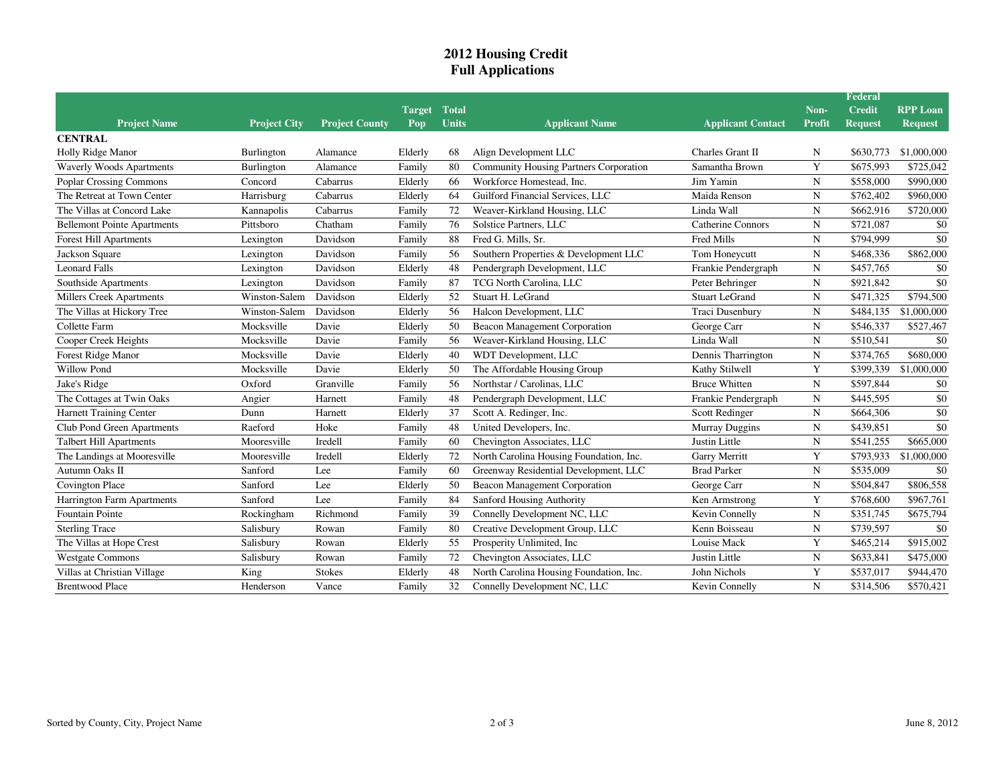## **2012 Housing CreditFull Applications**

|                                    |                     |                       |         |              |                                               |                          |             | Federal        |                 |
|------------------------------------|---------------------|-----------------------|---------|--------------|-----------------------------------------------|--------------------------|-------------|----------------|-----------------|
|                                    |                     |                       | Target  | <b>Total</b> |                                               |                          | Non-        | <b>Credit</b>  | <b>RPP Loan</b> |
| <b>Project Name</b>                | <b>Project City</b> | <b>Project County</b> | Pop     | <b>Units</b> | <b>Applicant Name</b>                         | <b>Applicant Contact</b> | Profit      | <b>Request</b> | <b>Request</b>  |
| <b>CENTRAL</b>                     |                     |                       |         |              |                                               |                          |             |                |                 |
| Holly Ridge Manor                  | Burlington          | Alamance              | Elderly | 68           | Align Development LLC                         | Charles Grant II         | N           | \$630,773      | \$1,000,000     |
| <b>Waverly Woods Apartments</b>    | Burlington          | Alamance              | Family  | 80           | <b>Community Housing Partners Corporation</b> | Samantha Brown           | Y           | \$675,993      | \$725,042       |
| Poplar Crossing Commons            | Concord             | Cabarrus              | Elderly | 66           | Workforce Homestead, Inc.                     | Jim Yamin                | N           | \$558,000      | \$990,000       |
| The Retreat at Town Center         | Harrisburg          | Cabarrus              | Elderly | 64           | Guilford Financial Services, LLC              | Maida Renson             | N           | \$762,402      | \$960,000       |
| The Villas at Concord Lake         | Kannapolis          | Cabarrus              | Family  | 72           | Weaver-Kirkland Housing, LLC                  | Linda Wall               | $\mathbf N$ | \$662,916      | \$720,000       |
| <b>Bellemont Pointe Apartments</b> | Pittsboro           | Chatham               | Family  | 76           | Solstice Partners, LLC                        | <b>Catherine Connors</b> | N           | \$721,087      | \$0             |
| <b>Forest Hill Apartments</b>      | Lexington           | Davidson              | Family  | 88           | Fred G. Mills, Sr.                            | Fred Mills               | N           | \$794,999      | \$0             |
| Jackson Square                     | Lexington           | Davidson              | Family  | 56           | Southern Properties & Development LLC         | Tom Honeycutt            | N           | \$468,336      | \$862,000       |
| <b>Leonard Falls</b>               | Lexington           | Davidson              | Elderly | 48           | Pendergraph Development, LLC                  | Frankie Pendergraph      | N           | \$457,765      | \$0             |
| Southside Apartments               | Lexington           | Davidson              | Family  | 87           | TCG North Carolina, LLC                       | Peter Behringer          | N           | \$921,842      | \$0             |
| <b>Millers Creek Apartments</b>    | Winston-Salem       | Davidson              | Elderly | 52           | Stuart H. LeGrand                             | <b>Stuart LeGrand</b>    | N           | \$471,325      | \$794,500       |
| The Villas at Hickory Tree         | Winston-Salem       | Davidson              | Elderly | 56           | Halcon Development, LLC                       | Traci Dusenbury          | $\mathbf N$ | \$484,135      | \$1,000,000     |
| Collette Farm                      | Mocksville          | Davie                 | Elderly | 50           | <b>Beacon Management Corporation</b>          | George Carr              | $\mathbf N$ | \$546,337      | \$527,467       |
| Cooper Creek Heights               | Mocksville          | Davie                 | Family  | 56           | Weaver-Kirkland Housing, LLC                  | Linda Wall               | N           | \$510,541      | \$0             |
| Forest Ridge Manor                 | Mocksville          | Davie                 | Elderly | 40           | WDT Development, LLC                          | Dennis Tharrington       | N           | \$374,765      | \$680,000       |
| Willow Pond                        | Mocksville          | Davie                 | Elderly | 50           | The Affordable Housing Group                  | Kathy Stilwell           | Y           | \$399,339      | \$1,000,000     |
| Jake's Ridge                       | Oxford              | Granville             | Family  | 56           | Northstar / Carolinas, LLC                    | <b>Bruce Whitten</b>     | N           | \$597,844      | \$0             |
| The Cottages at Twin Oaks          | Angier              | Harnett               | Family  | 48           | Pendergraph Development, LLC                  | Frankie Pendergraph      | N           | \$445,595      | \$0             |
| <b>Harnett Training Center</b>     | Dunn                | Harnett               | Elderly | 37           | Scott A. Redinger, Inc.                       | Scott Redinger           | $\mathbf N$ | \$664,306      | \$0             |
| Club Pond Green Apartments         | Raeford             | Hoke                  | Family  | 48           | United Developers, Inc.                       | Murray Duggins           | $\mathbf N$ | \$439,851      | \$0             |
| <b>Talbert Hill Apartments</b>     | Mooresville         | Iredell               | Family  | 60           | Chevington Associates, LLC                    | Justin Little            | $\mathbf N$ | \$541,255      | \$665,000       |
| The Landings at Mooresville        | Mooresville         | Iredell               | Elderly | 72           | North Carolina Housing Foundation, Inc.       | Garry Merritt            | Y           | \$793,933      | \$1,000,000     |
| Autumn Oaks II                     | Sanford             | Lee                   | Family  | 60           | Greenway Residential Development, LLC         | <b>Brad Parker</b>       | N           | \$535,009      | \$0             |
| Covington Place                    | Sanford             | Lee                   | Elderly | 50           | <b>Beacon Management Corporation</b>          | George Carr              | N           | \$504,847      | \$806,558       |
| Harrington Farm Apartments         | Sanford             | Lee                   | Family  | 84           | Sanford Housing Authority                     | Ken Armstrong            | Y           | \$768,600      | \$967,761       |
| Fountain Pointe                    | Rockingham          | Richmond              | Family  | 39           | Connelly Development NC, LLC                  | Kevin Connelly           | N           | \$351,745      | \$675,794       |
| <b>Sterling Trace</b>              | Salisbury           | Rowan                 | Family  | 80           | Creative Development Group, LLC               | Kenn Boisseau            | $\mathbf N$ | \$739,597      | \$0             |
| The Villas at Hope Crest           | Salisbury           | Rowan                 | Elderly | 55           | Prosperity Unlimited, Inc                     | Louise Mack              | Y           | \$465,214      | \$915,002       |
| <b>Westgate Commons</b>            | Salisbury           | Rowan                 | Family  | 72           | Chevington Associates, LLC                    | Justin Little            | $\mathbf N$ | \$633,841      | \$475,000       |
| Villas at Christian Village        | King                | <b>Stokes</b>         | Elderly | 48           | North Carolina Housing Foundation, Inc.       | John Nichols             | Y           | \$537,017      | \$944,470       |
| <b>Brentwood Place</b>             | Henderson           | Vance                 | Family  | 32           | Connelly Development NC, LLC                  | Kevin Connelly           | $\mathbf N$ | \$314,506      | \$570,421       |
|                                    |                     |                       |         |              |                                               |                          |             |                |                 |